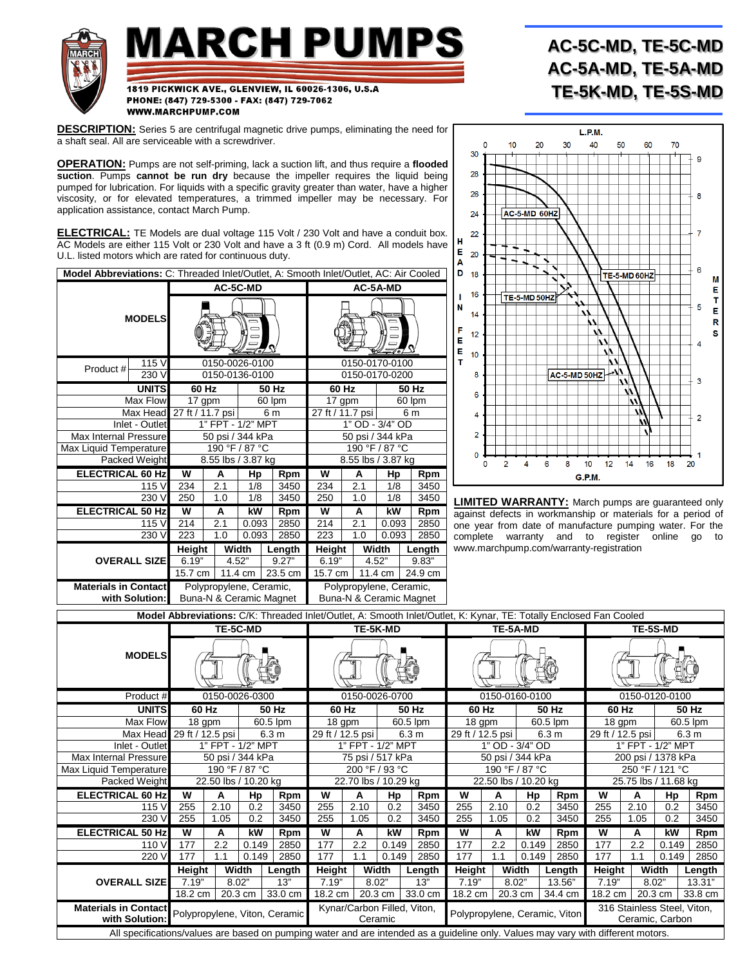

**DESCRIPTION:** [Series 5 are centrifugal magnetic drive pumps,](http://www.marchpump.com/series-5) eliminating the need for a shaft seal. All are serviceable with a screwdriver.

**OPERATION:** Pumps are not self-priming, lack a suction lift, and thus require a **flooded suction**. Pumps **cannot be run dry** because the impeller requires the liquid being pumped for lubrication. For liquids with a specific gravity greater than water, have a higher viscosity, or for elevated temperatures, a trimmed impeller may be necessary. For application assistance, contact March Pump.

**ELECTRICAL:** TE Models are dual voltage 115 Volt / 230 Volt and have a conduit box. AC Models are either 115 Volt or 230 Volt and have a 3 ft (0.9 m) Cord. All models have U.L. listed motors which are rated for continuous duty.

| Model Abbreviations: C: Threaded Inlet/Outlet, A: Smooth Inlet/Outlet, AC: Air Cooled |                           |                                                                                                          |        |                |                  |                               |                    |     |            |                |      |        |  |
|---------------------------------------------------------------------------------------|---------------------------|----------------------------------------------------------------------------------------------------------|--------|----------------|------------------|-------------------------------|--------------------|-----|------------|----------------|------|--------|--|
|                                                                                       |                           | AC-5A-MD                                                                                                 |        |                |                  |                               |                    |     |            |                |      |        |  |
| <b>MODELS</b>                                                                         |                           |                                                                                                          |        |                |                  | $\mathbb{Z}$ o $\mathbb{Z}$   |                    |     |            |                |      |        |  |
| Product#                                                                              | 115 V                     |                                                                                                          |        | 0150-0026-0100 |                  |                               |                    |     |            | 0150-0170-0100 |      |        |  |
|                                                                                       | 0150-0136-0100            | 0150-0170-0200                                                                                           |        |                |                  |                               |                    |     |            |                |      |        |  |
|                                                                                       | <b>UNITS</b>              |                                                                                                          | 60 Hz  |                |                  | 50 Hz                         | 60 Hz              |     |            | 50 Hz          |      |        |  |
|                                                                                       | Max Flow                  |                                                                                                          | 17 gpm |                |                  | 60 lpm                        | 17 gpm             |     | 60 lpm     |                |      |        |  |
|                                                                                       | Max Head 27 ft / 11.7 psi |                                                                                                          |        | 6 m            | 27 ft / 11.7 psi |                               | 6 m                |     |            |                |      |        |  |
| Inlet - Outlet                                                                        | 1" FPT - 1/2" MPT         | 1" OD - 3/4" OD                                                                                          |        |                |                  |                               |                    |     |            |                |      |        |  |
| <b>Max Internal Pressure</b>                                                          | 50 psi / 344 kPa          | 50 psi / 344 kPa                                                                                         |        |                |                  |                               |                    |     |            |                |      |        |  |
| Max Liquid Temperature                                                                |                           | 190 °F / 87 °C                                                                                           |        |                |                  |                               |                    |     |            |                |      |        |  |
| Packed Weight                                                                         |                           | 8.55 lbs / 3.87 kg                                                                                       |        |                |                  |                               | 8.55 lbs / 3.87 kg |     |            |                |      |        |  |
| <b>ELECTRICAL 60 Hz</b>                                                               |                           | W                                                                                                        | A      | Hp             |                  | Rpm                           | w                  | A   |            | Hp             |      | Rpm    |  |
|                                                                                       | 115 V                     | 234                                                                                                      | 2.1    | 1/8            |                  | 3450                          | 234                |     | 2.1<br>1/8 |                |      | 3450   |  |
|                                                                                       | 230 V                     | 250                                                                                                      | 1.0    | 1/8            |                  | 3450                          | 250<br>1.0         |     | 1/8        |                | 3450 |        |  |
| <b>ELECTRICAL 50 Hz</b>                                                               |                           | W                                                                                                        | A      | kW             |                  | Rpm                           | W                  | A   |            | kW             |      | Rpm    |  |
|                                                                                       | 115 V                     | 214                                                                                                      | 2.1    | 0.093          |                  | 2850                          | 2.1<br>214         |     | 0.093      |                | 2850 |        |  |
| 230 V                                                                                 |                           | 223                                                                                                      | 1.0    | 0.093          |                  | 2850                          | 223                | 1.0 |            | 0.093          |      | 2850   |  |
|                                                                                       |                           | Height                                                                                                   |        | Width          |                  | Length                        | Height             |     | Width      |                |      | Length |  |
|                                                                                       | <b>OVERALL SIZE</b>       | 6.19"                                                                                                    |        | 4.52"          |                  | 9.27"                         | 6.19"              |     |            | 4.52"          |      | 9.83"  |  |
|                                                                                       | 15.7 cm<br>11.4 cm        |                                                                                                          |        | 23.5 cm        |                  | 11.4 cm<br>15.7 cm<br>24.9 cm |                    |     |            |                |      |        |  |
| <b>Materials in Contact</b><br>with Solution:                                         |                           | Polypropylene, Ceramic,<br>Polypropylene, Ceramic,<br>Buna-N & Ceramic Magnet<br>Buna-N & Ceramic Magnet |        |                |                  |                               |                    |     |            |                |      |        |  |

## **AC-5C-MD, TE-5C-MD AC-5A-MD, TE-5A-MD TE-5K-MD, TE-5S-MD**



**LIMITED WARRANTY:** March pumps are guaranteed only against defects in workmanship or materials for a period of one year from date of manufacture pumping water. For the complete warranty and to register online go to www.marchpump.com/warranty-registration

| Model Abbreviations: C/K: Threaded Inlet/Outlet, A: Smooth Inlet/Outlet, K: Kynar, TE: Totally Enclosed Fan Cooled                |                                      |      |                |                |                      |                                        |          |                  |                               |          |                  |                 |                                                |       |                  |         |
|-----------------------------------------------------------------------------------------------------------------------------------|--------------------------------------|------|----------------|----------------|----------------------|----------------------------------------|----------|------------------|-------------------------------|----------|------------------|-----------------|------------------------------------------------|-------|------------------|---------|
|                                                                                                                                   | TE-5C-MD                             |      |                | TE-5K-MD       |                      |                                        |          |                  |                               | TE-5A-MD |                  | <b>TE-5S-MD</b> |                                                |       |                  |         |
|                                                                                                                                   | <b>MODELS</b>                        |      |                |                |                      |                                        |          |                  |                               |          |                  |                 |                                                |       |                  |         |
| Product#                                                                                                                          |                                      |      | 0150-0026-0300 |                | 0150-0026-0700       |                                        |          |                  |                               |          | 0150-0160-0100   |                 | 0150-0120-0100                                 |       |                  |         |
| <b>UNITS</b>                                                                                                                      | 50 Hz<br>60 Hz                       |      |                | 60 Hz<br>50 Hz |                      |                                        |          | 60 Hz<br>50 Hz   |                               |          | 60 Hz            |                 |                                                | 50 Hz |                  |         |
| Max Flow                                                                                                                          | 60.5 lpm<br>$\overline{18}$ gpm      |      |                | 18 gpm         |                      |                                        | 60.5 lpm | 18 gpm           |                               |          | 60.5 lpm         | 18 gpm          |                                                |       | 60.5 lpm         |         |
| Max Head                                                                                                                          | 6.3 <sub>m</sub><br>29 ft / 12.5 psi |      |                |                | 29 ft / 12.5 psi     |                                        |          | 6.3 <sub>m</sub> | 29 ft / 12.5 psi              |          | 6.3 <sub>m</sub> |                 | 29 ft / 12.5 psi                               |       | 6.3 <sub>m</sub> |         |
| Inlet - Outlet                                                                                                                    | 1" FPT - 1/2" MPT                    |      |                |                | 1" FPT - 1/2" MPT    |                                        |          |                  |                               |          | 1" OD - 3/4" OD  |                 | 1" FPT - 1/2" MPT                              |       |                  |         |
| Max Internal Pressure                                                                                                             | 50 psi / 344 kPa                     |      |                |                | 75 psi / 517 kPa     |                                        |          |                  |                               |          | 50 psi / 344 kPa |                 | 200 psi / 1378 kPa                             |       |                  |         |
| Max Liquid Temperature                                                                                                            | 190 °F / 87 °C                       |      |                |                | 200 °F / 93 °C       |                                        |          |                  | 190 °F / 87 °C                |          |                  |                 | 250 °F / 121 °C                                |       |                  |         |
| Packed Weight                                                                                                                     | 22.50 lbs / 10.20 kg                 |      |                |                | 22.70 lbs / 10.29 kg |                                        |          |                  | 22.50 lbs / 10.20 kg          |          |                  |                 | 25.75 lbs / 11.68 kg                           |       |                  |         |
| <b>ELECTRICAL 60 Hz</b>                                                                                                           | W                                    | A    | Hp             | Rpm            | W                    | А                                      | Hp       | Rpm              | W                             | A        | Hp               | Rpm             | W                                              | A     | Hp               | Rpm     |
| 115 V                                                                                                                             | 255                                  | 2.10 | 0.2            | 3450           | 255                  | 2.10                                   | 0.2      | 3450             | 255                           | 2.10     | 0.2              | 3450            | 255                                            | 2.10  | 0.2              | 3450    |
| 230 V                                                                                                                             | 255                                  | 1.05 | 0.2            | 3450           | 255                  | 1.05                                   | 0.2      | 3450             | 255                           | 1.05     | 0.2              | 3450            | 255                                            | 1.05  | 0.2              | 3450    |
| <b>ELECTRICAL 50 Hz</b>                                                                                                           | W                                    | A    | kW             | Rpm            | W                    | A                                      | kW       | Rpm              | W                             | A        | kW               | Rpm             | W                                              | A     | kW               | Rpm     |
| 110 V                                                                                                                             | 177                                  | 2.2  | 0.149          | 2850           | 177                  | 2.2                                    | 0.149    | 2850             | 177                           | 2.2      | 0.149            | 2850            | 177                                            | 2.2   | 0.149            | 2850    |
| 220 V                                                                                                                             | 177                                  | 1.1  | 0.149          | 2850           | 177                  | 1.1                                    | 0.149    | 2850             | 177                           | 1.1      | 0.149            | 2850            | 177                                            | 1.1   | 0.149            | 2850    |
|                                                                                                                                   | Height                               |      | Width          | Length         | Height               |                                        | Width    | Length           | Height                        |          | Width            | Length          | <b>Height</b>                                  |       | Width            | Length  |
| <b>OVERALL SIZE</b>                                                                                                               | 7.19"<br>8.02"                       |      | 13"            |                | 7.19"<br>8.02"       |                                        | 13"      | 7.19"            | 8.02"                         |          | 13.56"           | 7.19"           |                                                | 8.02" | 13.31"           |         |
|                                                                                                                                   | 18.2 cm                              |      | 20.3 cm        | 33.0 cm        | 18.2 cm              |                                        | 20.3 cm  | 33.0 cm          | 18.2 cm $\vert$               |          | 20.3 cm          | 34.4 cm         | 18.2 cm                                        |       | 20.3 cm          | 33.8 cm |
| <b>Materials in Contact</b><br>Polypropylene, Viton, Ceramic<br>with Solution:                                                    |                                      |      |                |                |                      | Kynar/Carbon Filled, Viton,<br>Ceramic |          |                  | Polypropylene, Ceramic, Viton |          |                  |                 | 316 Stainless Steel, Viton,<br>Ceramic, Carbon |       |                  |         |
| All specifications/values are based on pumping water and are intended as a guideline only. Values may vary with different motors. |                                      |      |                |                |                      |                                        |          |                  |                               |          |                  |                 |                                                |       |                  |         |